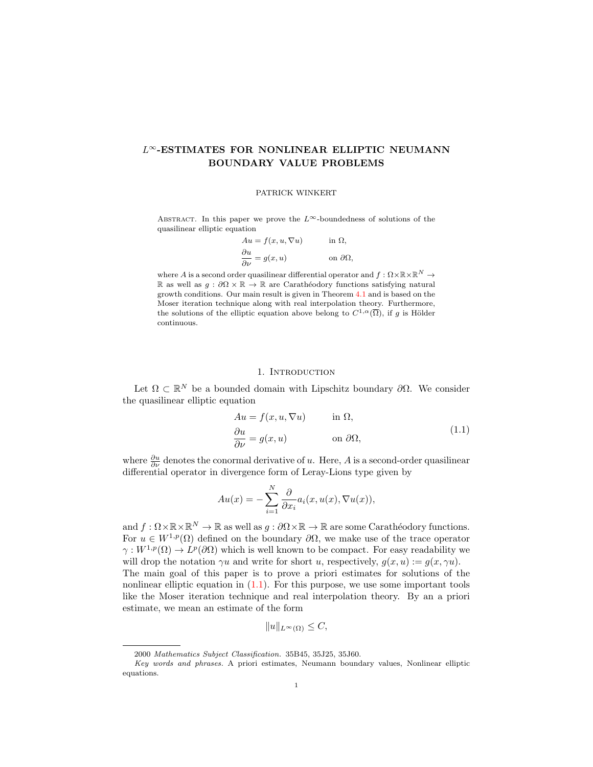# L∞-ESTIMATES FOR NONLINEAR ELLIPTIC NEUMANN BOUNDARY VALUE PROBLEMS

#### PATRICK WINKERT

ABSTRACT. In this paper we prove the  $L^{\infty}$ -boundedness of solutions of the quasilinear elliptic equation

| $Au = f(x, u, \nabla u)$                    | in $\Omega$ ,         |
|---------------------------------------------|-----------------------|
| $\frac{\partial u}{\partial \nu} = g(x, u)$ | on $\partial\Omega$ , |

where  $A$  is a second order quasilinear differential operator and  $f:\Omega\times \mathbb{R}\times \mathbb{R}^N\rightarrow \mathbb{R}$ R as well as  $q : ∂Ω × ℝ → ℝ$  are Carathéodory functions satisfying natural growth conditions. Our main result is given in Theorem [4.1](#page-5-0) and is based on the Moser iteration technique along with real interpolation theory. Furthermore, the solutions of the elliptic equation above belong to  $C^{1,\alpha}(\overline{\Omega})$ , if g is Hölder continuous.

#### <span id="page-0-0"></span>1. INTRODUCTION

Let  $\Omega \subset \mathbb{R}^N$  be a bounded domain with Lipschitz boundary  $\partial \Omega$ . We consider the quasilinear elliptic equation

$$
Au = f(x, u, \nabla u) \quad \text{in } \Omega,
$$
  
\n
$$
\frac{\partial u}{\partial \nu} = g(x, u) \quad \text{on } \partial \Omega,
$$
\n(1.1)

where  $\frac{\partial u}{\partial \nu}$  denotes the conormal derivative of u. Here, A is a second-order quasilinear differential operator in divergence form of Leray-Lions type given by

$$
Au(x) = -\sum_{i=1}^{N} \frac{\partial}{\partial x_i} a_i(x, u(x), \nabla u(x)),
$$

and  $f: \Omega \times \mathbb{R} \times \mathbb{R}^N \to \mathbb{R}$  as well as  $g: \partial \Omega \times \mathbb{R} \to \mathbb{R}$  are some Carathéodory functions. For  $u \in W^{1,p}(\Omega)$  defined on the boundary  $\partial\Omega$ , we make use of the trace operator  $\gamma: W^{1,p}(\Omega) \to L^p(\partial\Omega)$  which is well known to be compact. For easy readability we will drop the notation  $\gamma u$  and write for short u, respectively,  $g(x, u) := g(x, \gamma u)$ . The main goal of this paper is to prove a priori estimates for solutions of the nonlinear elliptic equation in  $(1.1)$ . For this purpose, we use some important tools like the Moser iteration technique and real interpolation theory. By an a priori estimate, we mean an estimate of the form

$$
||u||_{L^{\infty}(\Omega)} \leq C,
$$

<sup>2000</sup> Mathematics Subject Classification. 35B45, 35J25, 35J60.

Key words and phrases. A priori estimates, Neumann boundary values, Nonlinear elliptic equations.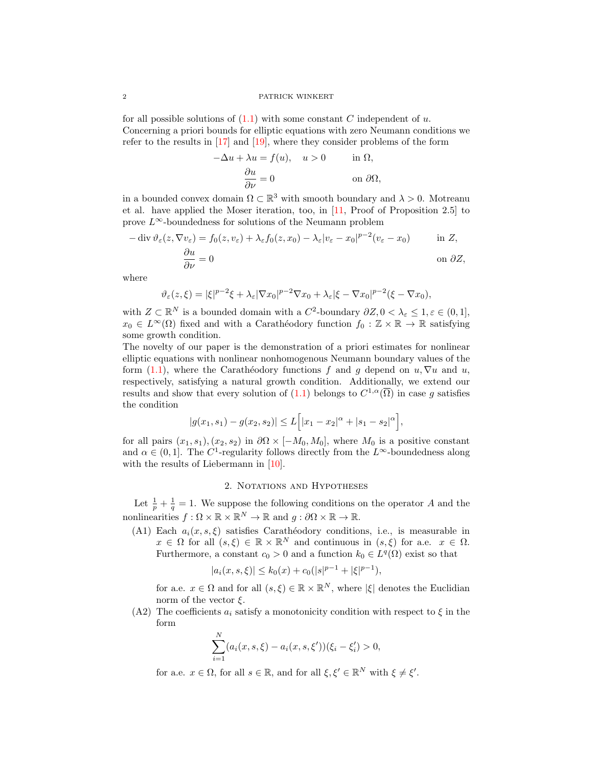#### 2 PATRICK WINKERT

for all possible solutions of  $(1.1)$  with some constant C independent of u. Concerning a priori bounds for elliptic equations with zero Neumann conditions we refer to the results in [\[17\]](#page-12-0) and [\[19\]](#page-12-1), where they consider problems of the form

$$
-\Delta u + \lambda u = f(u), \quad u > 0 \quad \text{in } \Omega,
$$

$$
\frac{\partial u}{\partial \nu} = 0 \quad \text{on } \partial \Omega,
$$

in a bounded convex domain  $\Omega \subset \mathbb{R}^3$  with smooth boundary and  $\lambda > 0$ . Motreanu et al. have applied the Moser iteration, too, in [\[11,](#page-12-2) Proof of Proposition 2.5] to prove  $L^{\infty}$ -boundedness for solutions of the Neumann problem

$$
-\operatorname{div}\vartheta_{\varepsilon}(z,\nabla v_{\varepsilon}) = f_0(z,v_{\varepsilon}) + \lambda_{\varepsilon}f_0(z,x_0) - \lambda_{\varepsilon}|v_{\varepsilon} - x_0|^{p-2}(v_{\varepsilon} - x_0) \quad \text{in } Z,
$$

$$
\frac{\partial u}{\partial \nu} = 0 \quad \text{on } \partial Z,
$$

where

$$
\vartheta_{\varepsilon}(z,\xi) = |\xi|^{p-2}\xi + \lambda_{\varepsilon} |\nabla x_0|^{p-2} \nabla x_0 + \lambda_{\varepsilon} |\xi - \nabla x_0|^{p-2} (\xi - \nabla x_0),
$$

with  $Z \subset \mathbb{R}^N$  is a bounded domain with a  $C^2$ -boundary  $\partial Z$ ,  $0 < \lambda_{\varepsilon} \leq 1, \varepsilon \in (0,1],$  $x_0 \in L^{\infty}(\Omega)$  fixed and with a Carathéodory function  $f_0 : \mathbb{Z} \times \mathbb{R} \to \mathbb{R}$  satisfying some growth condition.

The novelty of our paper is the demonstration of a priori estimates for nonlinear elliptic equations with nonlinear nonhomogenous Neumann boundary values of the form [\(1.1\)](#page-0-0), where the Carathéodory functions f and q depend on  $u, \nabla u$  and  $u$ , respectively, satisfying a natural growth condition. Additionally, we extend our results and show that every solution of  $(1.1)$  belongs to  $C^{1,\alpha}(\overline{\Omega})$  in case g satisfies the condition

$$
|g(x_1, s_1) - g(x_2, s_2)| \le L\Big[|x_1 - x_2|^{\alpha} + |s_1 - s_2|^{\alpha}\Big],
$$

for all pairs  $(x_1, s_1), (x_2, s_2)$  in  $\partial\Omega \times [-M_0, M_0]$ , where  $M_0$  is a positive constant and  $\alpha \in (0,1]$ . The C<sup>1</sup>-regularity follows directly from the L<sup>∞</sup>-boundedness along with the results of Liebermann in [\[10\]](#page-12-3).

## 2. NOTATIONS AND HYPOTHESES

Let  $\frac{1}{p} + \frac{1}{q} = 1$ . We suppose the following conditions on the operator A and the nonlinearities  $f : \Omega \times \mathbb{R} \times \mathbb{R}^N \to \mathbb{R}$  and  $g : \partial \Omega \times \mathbb{R} \to \mathbb{R}$ .

(A1) Each  $a_i(x, s, \xi)$  satisfies Carathéodory conditions, i.e., is measurable in  $x \in \Omega$  for all  $(s,\xi) \in \mathbb{R} \times \mathbb{R}^N$  and continuous in  $(s,\xi)$  for a.e.  $x \in \Omega$ . Furthermore, a constant  $c_0 > 0$  and a function  $k_0 \in L^q(\Omega)$  exist so that

$$
|a_i(x, s, \xi)| \le k_0(x) + c_0(|s|^{p-1} + |\xi|^{p-1}),
$$

for a.e.  $x \in \Omega$  and for all  $(s, \xi) \in \mathbb{R} \times \mathbb{R}^N$ , where  $|\xi|$  denotes the Euclidian norm of the vector  $\xi$ .

(A2) The coefficients  $a_i$  satisfy a monotonicity condition with respect to  $\xi$  in the form

$$
\sum_{i=1}^{N} (a_i(x, s, \xi) - a_i(x, s, \xi'))(\xi_i - \xi'_i) > 0,
$$

for a.e.  $x \in \Omega$ , for all  $s \in \mathbb{R}$ , and for all  $\xi, \xi' \in \mathbb{R}^N$  with  $\xi \neq \xi'$ .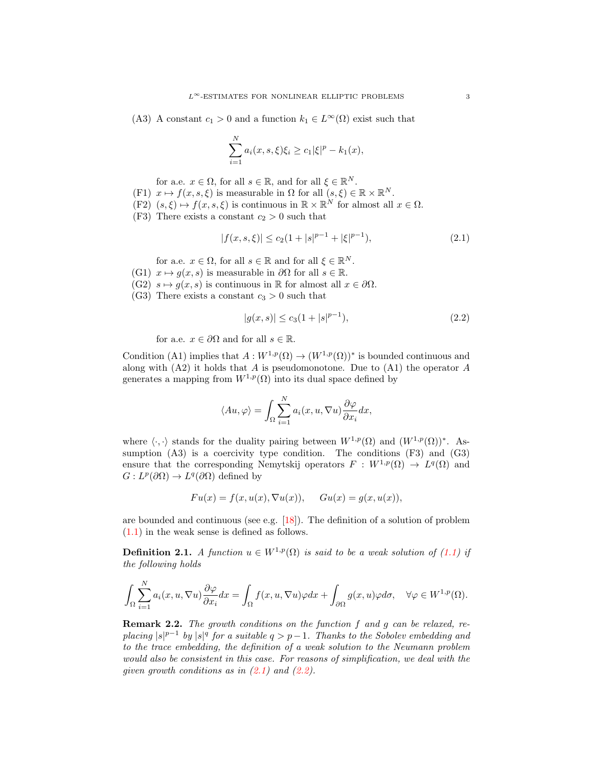(A3) A constant  $c_1 > 0$  and a function  $k_1 \in L^{\infty}(\Omega)$  exist such that

$$
\sum_{i=1}^{N} a_i(x, s, \xi) \xi_i \ge c_1 |\xi|^p - k_1(x),
$$

for a.e.  $x \in \Omega$ , for all  $s \in \mathbb{R}$ , and for all  $\xi \in \mathbb{R}^N$ .

- (F1)  $x \mapsto f(x, s, \xi)$  is measurable in  $\Omega$  for all  $(s, \xi) \in \mathbb{R} \times \mathbb{R}^N$ .
- $(F2)$   $(s, \xi) \mapsto f(x, s, \xi)$  is continuous in  $\mathbb{R} \times \mathbb{R}^N$  for almost all  $x \in \Omega$ .
- (F3) There exists a constant  $c_2 > 0$  such that

$$
|f(x, s, \xi)| \le c_2 (1 + |s|^{p-1} + |\xi|^{p-1}), \tag{2.1}
$$

for a.e.  $x \in \Omega$ , for all  $s \in \mathbb{R}$  and for all  $\xi \in \mathbb{R}^N$ .

- (G1)  $x \mapsto q(x, s)$  is measurable in  $\partial\Omega$  for all  $s \in \mathbb{R}$ .
- (G2)  $s \mapsto g(x, s)$  is continuous in R for almost all  $x \in \partial \Omega$ .
- (G3) There exists a constant  $c_3 > 0$  such that

<span id="page-2-1"></span><span id="page-2-0"></span>
$$
|g(x,s)| \le c_3(1+|s|^{p-1}),\tag{2.2}
$$

for a.e.  $x \in \partial\Omega$  and for all  $s \in \mathbb{R}$ .

Condition (A1) implies that  $A: W^{1,p}(\Omega) \to (W^{1,p}(\Omega))^*$  is bounded continuous and along with  $(A2)$  it holds that A is pseudomonotone. Due to  $(A1)$  the operator A generates a mapping from  $W^{1,p}(\Omega)$  into its dual space defined by

$$
\langle Au, \varphi \rangle = \int_{\Omega} \sum_{i=1}^{N} a_i(x, u, \nabla u) \frac{\partial \varphi}{\partial x_i} dx,
$$

where  $\langle \cdot, \cdot \rangle$  stands for the duality pairing between  $W^{1,p}(\Omega)$  and  $(W^{1,p}(\Omega))^*$ . Assumption  $(A3)$  is a coercivity type condition. The conditions  $(F3)$  and  $(G3)$ ensure that the corresponding Nemytskij operators  $F: W^{1,p}(\Omega) \to L^q(\Omega)$  and  $G: L^p(\partial\Omega) \to L^q(\partial\Omega)$  defined by

$$
Fu(x) = f(x, u(x), \nabla u(x)), \quad Gu(x) = g(x, u(x)),
$$

are bounded and continuous (see e.g.  $[18]$ ). The definition of a solution of problem [\(1.1\)](#page-0-0) in the weak sense is defined as follows.

<span id="page-2-2"></span>**Definition 2.1.** A function  $u \in W^{1,p}(\Omega)$  is said to be a weak solution of [\(1.1\)](#page-0-0) if the following holds

$$
\int_{\Omega} \sum_{i=1}^{N} a_i(x, u, \nabla u) \frac{\partial \varphi}{\partial x_i} dx = \int_{\Omega} f(x, u, \nabla u) \varphi dx + \int_{\partial \Omega} g(x, u) \varphi d\sigma, \quad \forall \varphi \in W^{1, p}(\Omega).
$$

**Remark 2.2.** The growth conditions on the function f and g can be relaxed, replacing  $|s|^{p-1}$  by  $|s|^q$  for a suitable  $q > p-1$ . Thanks to the Sobolev embedding and to the trace embedding, the definition of a weak solution to the Neumann problem would also be consistent in this case. For reasons of simplification, we deal with the given growth conditions as in  $(2.1)$  and  $(2.2)$ .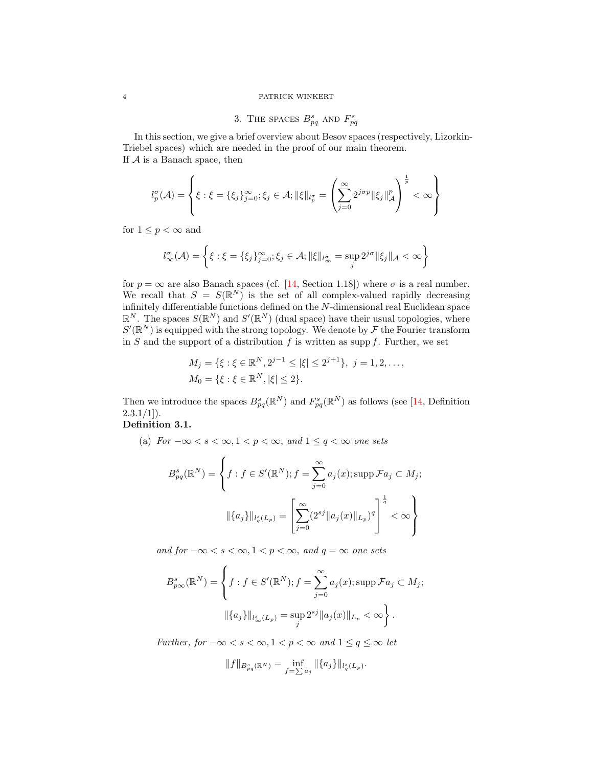## 4 PATRICK WINKERT

# 3. THE SPACES  $B_{pq}^s$  and  $F_{pq}^s$

In this section, we give a brief overview about Besov spaces (respectively, Lizorkin-Triebel spaces) which are needed in the proof of our main theorem. If  $A$  is a Banach space, then

$$
l_p^{\sigma}(\mathcal{A}) = \left\{ \xi : \xi = \{\xi_j\}_{j=0}^{\infty}; \xi_j \in \mathcal{A}; \|\xi\|_{l_p^{\sigma}} = \left(\sum_{j=0}^{\infty} 2^{j\sigma p} \|\xi_j\|_{\mathcal{A}}^p\right)^{\frac{1}{p}} < \infty \right\}
$$

for  $1 \leq p < \infty$  and

$$
l_{\infty}^{\sigma}(\mathcal{A}) = \left\{ \xi : \xi = \{\xi_j\}_{j=0}^{\infty}; \xi_j \in \mathcal{A}; \|\xi\|_{l_{\infty}^{\sigma}} = \sup_j 2^{j\sigma} \|\xi_j\|_{\mathcal{A}} < \infty \right\}
$$

for  $p = \infty$  are also Banach spaces (cf. [\[14,](#page-12-5) Section 1.18]) where  $\sigma$  is a real number. We recall that  $S = S(\mathbb{R}^N)$  is the set of all complex-valued rapidly decreasing infinitely differentiable functions defined on the N-dimensional real Euclidean space  $\mathbb{R}^N$ . The spaces  $S(\mathbb{R}^N)$  and  $S'(\mathbb{R}^N)$  (dual space) have their usual topologies, where  $S'(\mathbb{R}^N)$  is equipped with the strong topology. We denote by  $\mathcal F$  the Fourier transform in S and the support of a distribution  $f$  is written as supp  $f$ . Further, we set

$$
M_j = \{ \xi : \xi \in \mathbb{R}^N, 2^{j-1} \le |\xi| \le 2^{j+1} \}, j = 1, 2, \dots,
$$
  

$$
M_0 = \{ \xi : \xi \in \mathbb{R}^N, |\xi| \le 2 \}.
$$

Then we introduce the spaces  $B_{pq}^s(\mathbb{R}^N)$  and  $F_{pq}^s(\mathbb{R}^N)$  as follows (see [\[14,](#page-12-5) Definition  $2.3.1/1$ ]).

# Definition 3.1.

(a)  $For -\infty < s < \infty, 1 < p < \infty, and 1 \le q < \infty$  one sets

$$
B_{pq}^{s}(\mathbb{R}^{N}) = \left\{ f : f \in S'(\mathbb{R}^{N}) ; f = \sum_{j=0}^{\infty} a_{j}(x) ; \operatorname{supp} \mathcal{F}a_{j} \subset M_{j};
$$

$$
\|\{a_{j}\}\|_{l_{q}^{s}(L_{p})} = \left[\sum_{j=0}^{\infty} (2^{sj} \|a_{j}(x)\|_{L_{p}})^{q}\right]^{\frac{1}{q}} < \infty\right\}
$$

and for  $-\infty < s < \infty, 1 < p < \infty$ , and  $q = \infty$  one sets

$$
B_{p\infty}^{s}(\mathbb{R}^{N}) = \left\{ f : f \in S'(\mathbb{R}^{N}) ; f = \sum_{j=0}^{\infty} a_{j}(x) ; \operatorname{supp} \mathcal{F}a_{j} \subset M_{j}; \right\}
$$

$$
\|\{a_{j}\}\|_{l^{s}_{\infty}(L_{p})} = \sup_{j} 2^{sj} \|a_{j}(x)\|_{L_{p}} < \infty \right\}.
$$

Further, for  $-\infty < s < \infty, 1 < p < \infty$  and  $1 \le q \le \infty$  let

$$
||f||_{B_{pq}^s(\mathbb{R}^N)} = \inf_{f=\sum a_j} ||\{a_j\}||_{l_q^s(L_p)}.
$$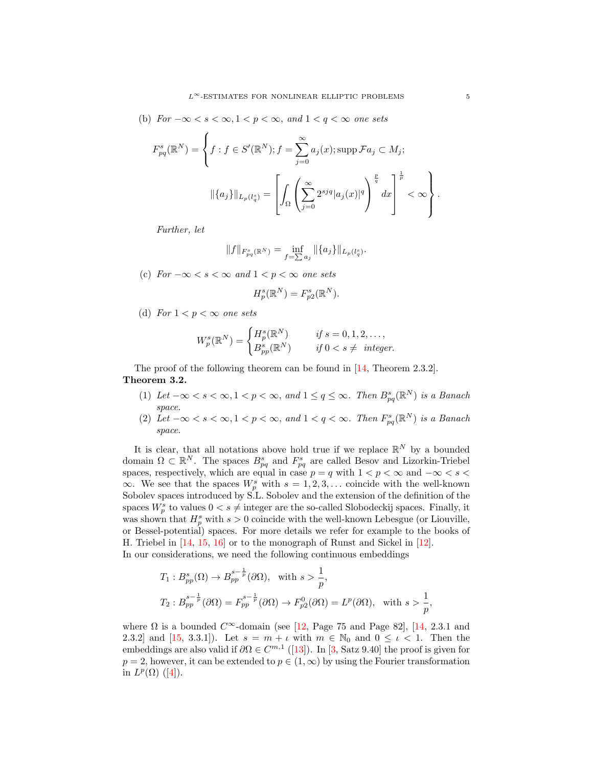(b)  $For -\infty < s < \infty, 1 < p < \infty, and 1 < q < \infty$  one sets

$$
F_{pq}^{s}(\mathbb{R}^{N}) = \left\{ f : f \in S'(\mathbb{R}^{N}) ; f = \sum_{j=0}^{\infty} a_{j}(x) ; \operatorname{supp} \mathcal{F}a_{j} \subset M_{j};
$$

$$
\|\{a_{j}\}\|_{L_{p}(l_{q}^{s})} = \left[ \int_{\Omega} \left( \sum_{j=0}^{\infty} 2^{sjq} |a_{j}(x)|^{q} \right)^{\frac{p}{q}} dx \right]^{\frac{1}{p}} < \infty \right\}.
$$

Further, let

$$
\|f\|_{F^s_{pq}(\mathbb{R}^N)}=\inf_{f=\sum a_j}\|\{a_j\}\|_{L_p(l^s_q)}.
$$

(c)  $For -\infty < s < \infty$  and  $1 < p < \infty$  one sets

$$
H_p^s(\mathbb{R}^N) = F_{p2}^s(\mathbb{R}^N).
$$

(d) For  $1 < p < \infty$  one sets

$$
W_p^s(\mathbb{R}^N) = \begin{cases} H_p^s(\mathbb{R}^N) & \text{if } s = 0, 1, 2, \dots, \\ B_{pp}^s(\mathbb{R}^N) & \text{if } 0 < s \neq \text{ integer.} \end{cases}
$$

The proof of the following theorem can be found in [\[14,](#page-12-5) Theorem 2.3.2]. Theorem 3.2.

- (1) Let  $-\infty < s < \infty, 1 < p < \infty$ , and  $1 \le q \le \infty$ . Then  $B^s_{pq}(\mathbb{R}^N)$  is a Banach space.
- (2) Let  $-\infty < s < \infty, 1 < p < \infty$ , and  $1 < q < \infty$ . Then  $F_{pq}^s(\mathbb{R}^N)$  is a Banach space.

It is clear, that all notations above hold true if we replace  $\mathbb{R}^N$  by a bounded domain  $\Omega \subset \mathbb{R}^N$ . The spaces  $B_{pq}^s$  and  $F_{pq}^s$  are called Besov and Lizorkin-Triebel spaces, respectively, which are equal in case  $p = q$  with  $1 < p < \infty$  and  $-\infty < s <$  $\infty$ . We see that the spaces  $W_p^s$  with  $s = 1, 2, 3, \ldots$  coincide with the well-known Sobolev spaces introduced by S.L. Sobolev and the extension of the definition of the spaces  $W_p^s$  to values  $0 < s \neq$  integer are the so-called Slobodeckij spaces. Finally, it was shown that  $H_p^s$  with  $s > 0$  coincide with the well-known Lebesgue (or Liouville, or Bessel-potential) spaces. For more details we refer for example to the books of H. Triebel in [\[14,](#page-12-5) [15,](#page-12-6) [16\]](#page-12-7) or to the monograph of Runst and Sickel in [\[12\]](#page-12-8). In our considerations, we need the following continuous embeddings

$$
T_1: B_{pp}^s(\Omega) \to B_{pp}^{s-\frac{1}{p}}(\partial \Omega), \text{ with } s > \frac{1}{p},
$$
  
\n
$$
T_2: B_{pp}^{s-\frac{1}{p}}(\partial \Omega) = F_{pp}^{s-\frac{1}{p}}(\partial \Omega) \to F_{p2}^0(\partial \Omega) = L^p(\partial \Omega), \text{ with } s > \frac{1}{p},
$$

where  $\Omega$  is a bounded  $C^{\infty}$ -domain (see [\[12,](#page-12-8) Page 75 and Page 82], [\[14,](#page-12-5) 2.3.1 and 2.3.2] and [\[15,](#page-12-6) 3.3.1]). Let  $s = m + \iota$  with  $m \in \mathbb{N}_0$  and  $0 \leq \iota < 1$ . Then the embeddings are also valid if  $\partial \Omega \in C^{m,1}([13])$  $\partial \Omega \in C^{m,1}([13])$  $\partial \Omega \in C^{m,1}([13])$ . In [\[3,](#page-11-0) Satz 9.40] the proof is given for  $p = 2$ , however, it can be extended to  $p \in (1, \infty)$  by using the Fourier transformation in  $L^p(\Omega)$  ([\[4\]](#page-12-10)).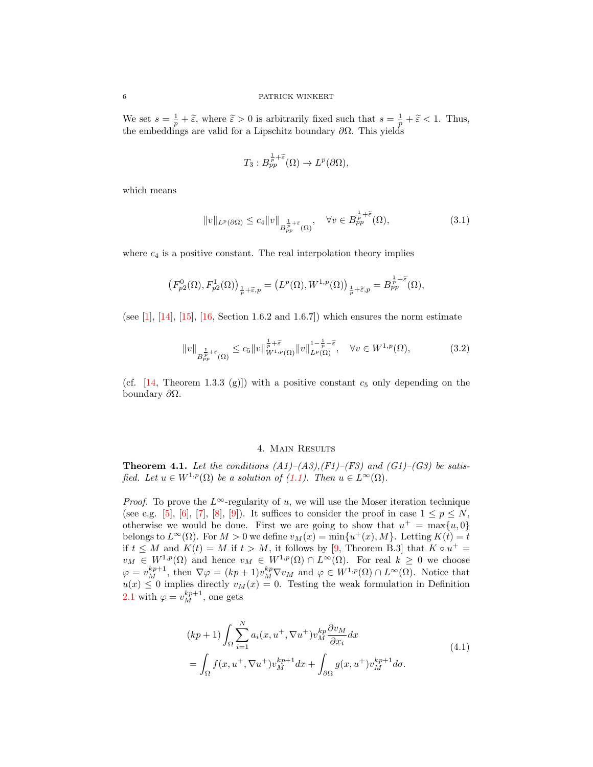We set  $s = \frac{1}{p} + \tilde{\varepsilon}$ , where  $\tilde{\varepsilon} > 0$  is arbitrarily fixed such that  $s = \frac{1}{p} + \tilde{\varepsilon} < 1$ . Thus, the embeddings are valid for a Lipschitz boundary  $\partial\Omega$ . This yields

<span id="page-5-2"></span>
$$
T_3: B_{pp}^{\frac{1}{p}+\widetilde{\varepsilon}}(\Omega) \to L^p(\partial\Omega),
$$

which means

$$
||v||_{L^{p}(\partial\Omega)} \leq c_4 ||v||_{B_{pp}^{\frac{1}{p}+\tilde{\varepsilon}}(\Omega)}, \quad \forall v \in B_{pp}^{\frac{1}{p}+\tilde{\varepsilon}}(\Omega), \tag{3.1}
$$

where  $c_4$  is a positive constant. The real interpolation theory implies

$$
\left(F_{p2}^0(\Omega),F_{p2}^1(\Omega)\right)_{\frac{1}{p}+\widetilde{\varepsilon},p}=\left(L^p(\Omega),W^{1,p}(\Omega)\right)_{\frac{1}{p}+\widetilde{\varepsilon},p}=B_{pp}^{\frac{1}{p}+\widetilde{\varepsilon}}(\Omega),
$$

(see [\[1\]](#page-11-1), [\[14\]](#page-12-5), [\[15\]](#page-12-6), [\[16,](#page-12-7) Section 1.6.2 and 1.6.7]) which ensures the norm estimate

$$
||v||_{B_{pp}^{\frac{1}{p}+\tilde{\varepsilon}}(\Omega)} \leq c_5 ||v||_{W^{1,p}(\Omega)}^{\frac{1}{p}+\tilde{\varepsilon}} ||v||_{L^p(\Omega)}^{1-\frac{1}{p}-\tilde{\varepsilon}}, \quad \forall v \in W^{1,p}(\Omega), \tag{3.2}
$$

(cf.  $[14,$  Theorem 1.3.3 (g)]) with a positive constant  $c_5$  only depending on the boundary  $\partial Ω$ .

#### <span id="page-5-3"></span>4. Main Results

<span id="page-5-0"></span>**Theorem 4.1.** Let the conditions  $(A1)$ – $(A3)$ , $(F1)$ – $(F3)$  and  $(G1)$ – $(G3)$  be satisfied. Let  $u \in W^{1,p}(\Omega)$  be a solution of  $(1.1)$ . Then  $u \in L^{\infty}(\Omega)$ .

*Proof.* To prove the L∞-regularity of u, we will use the Moser iteration technique (see e.g. [\[5\]](#page-12-11), [\[6\]](#page-12-12), [\[7\]](#page-12-13), [\[8\]](#page-12-14), [\[9\]](#page-12-15)). It suffices to consider the proof in case  $1 \leq p \leq N$ , otherwise we would be done. First we are going to show that  $u^+ = \max\{u, 0\}$ belongs to  $L^{\infty}(\Omega)$ . For  $M > 0$  we define  $v_M(x) = \min\{u^+(x), M\}$ . Letting  $K(t) = t$ if  $t \leq M$  and  $K(t) = M$  if  $t > M$ , it follows by [\[9,](#page-12-15) Theorem B.3] that  $K \circ u^+ =$  $v_M \in W^{1,p}(\Omega)$  and hence  $v_M \in W^{1,p}(\Omega) \cap L^{\infty}(\Omega)$ . For real  $k \geq 0$  we choose  $\varphi = v_M^{kp+1}$ , then  $\nabla \varphi = (kp+1)v_M^{kp}\nabla v_M$  and  $\varphi \in W^{1,p}(\Omega) \cap L^{\infty}(\Omega)$ . Notice that  $u(x) \leq 0$  implies directly  $v_M(x) = 0$ . Testing the weak formulation in Definition [2.1](#page-2-2) with  $\varphi = v_M^{kp+1}$ , one gets

<span id="page-5-1"></span>
$$
(kp+1)\int_{\Omega} \sum_{i=1}^{N} a_i(x, u^+, \nabla u^+) v_M^{kp} \frac{\partial v_M}{\partial x_i} dx
$$
  
= 
$$
\int_{\Omega} f(x, u^+, \nabla u^+) v_M^{kp+1} dx + \int_{\partial \Omega} g(x, u^+) v_M^{kp+1} d\sigma.
$$
 (4.1)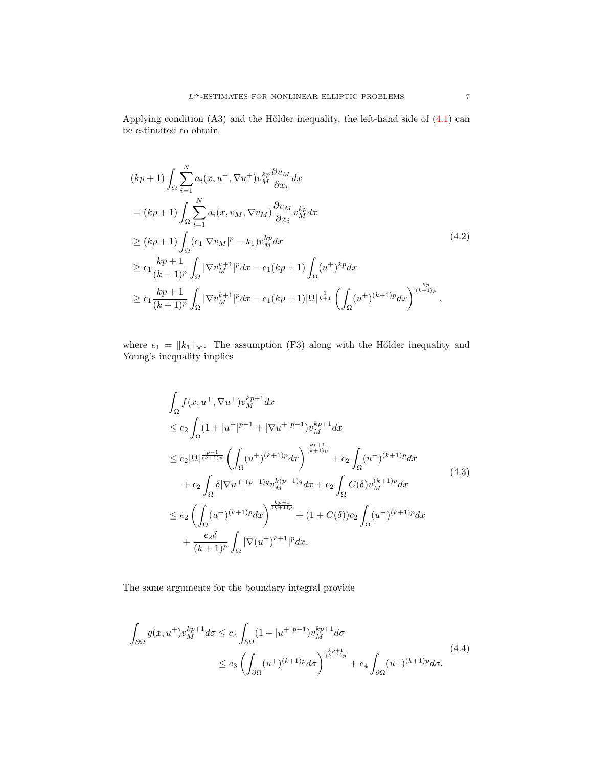Applying condition  $(A3)$  and the Hölder inequality, the left-hand side of  $(4.1)$  can be estimated to obtain

<span id="page-6-0"></span>
$$
(kp+1)\int_{\Omega} \sum_{i=1}^{N} a_i(x, u^+, \nabla u^+) v_M^{kp} \frac{\partial v_M}{\partial x_i} dx
$$
  
=  $(kp+1) \int_{\Omega} \sum_{i=1}^{N} a_i(x, v_M, \nabla v_M) \frac{\partial v_M}{\partial x_i} v_M^{kp} dx$   

$$
\geq (kp+1) \int_{\Omega} (c_1 |\nabla v_M|^p - k_1) v_M^{kp} dx
$$
  

$$
\geq c_1 \frac{kp+1}{(k+1)^p} \int_{\Omega} |\nabla v_M^{k+1}|^p dx - e_1 (kp+1) \int_{\Omega} (u^+)^{kp} dx
$$
  

$$
\geq c_1 \frac{kp+1}{(k+1)^p} \int_{\Omega} |\nabla v_M^{k+1}|^p dx - e_1 (kp+1) |\Omega|^{\frac{1}{k+1}} \left( \int_{\Omega} (u^+)^{(k+1)p} dx \right)^{\frac{kp}{(k+1)p}},
$$

where  $e_1 = ||k_1||_{\infty}$ . The assumption (F3) along with the Hölder inequality and Young's inequality implies

$$
\int_{\Omega} f(x, u^{+}, \nabla u^{+}) v_{M}^{kp+1} dx
$$
\n
$$
\leq c_{2} \int_{\Omega} (1 + |u^{+}|^{p-1} + |\nabla u^{+}|^{p-1}) v_{M}^{kp+1} dx
$$
\n
$$
\leq c_{2} |\Omega| \frac{v-1}{(k+1)p} \left( \int_{\Omega} (u^{+})^{(k+1)p} dx \right)^{\frac{kp+1}{(k+1)p}} + c_{2} \int_{\Omega} (u^{+})^{(k+1)p} dx
$$
\n
$$
+ c_{2} \int_{\Omega} \delta |\nabla u^{+}|^{(p-1)q} v_{M}^{k(p-1)q} dx + c_{2} \int_{\Omega} C(\delta) v_{M}^{(k+1)p} dx
$$
\n
$$
\leq e_{2} \left( \int_{\Omega} (u^{+})^{(k+1)p} dx \right)^{\frac{kp+1}{(k+1)p}} + (1 + C(\delta)) c_{2} \int_{\Omega} (u^{+})^{(k+1)p} dx
$$
\n
$$
+ \frac{c_{2} \delta}{(k+1)p} \int_{\Omega} |\nabla (u^{+})^{k+1}|^{p} dx.
$$
\n(4.3)

The same arguments for the boundary integral provide

<span id="page-6-1"></span>
$$
\int_{\partial\Omega} g(x, u^+) v_M^{kp+1} d\sigma \le c_3 \int_{\partial\Omega} (1 + |u^+|^{p-1}) v_M^{kp+1} d\sigma
$$
\n
$$
\le e_3 \left( \int_{\partial\Omega} (u^+)^{(k+1)p} d\sigma \right)^{\frac{kp+1}{(k+1)p}} + e_4 \int_{\partial\Omega} (u^+)^{(k+1)p} d\sigma. \tag{4.4}
$$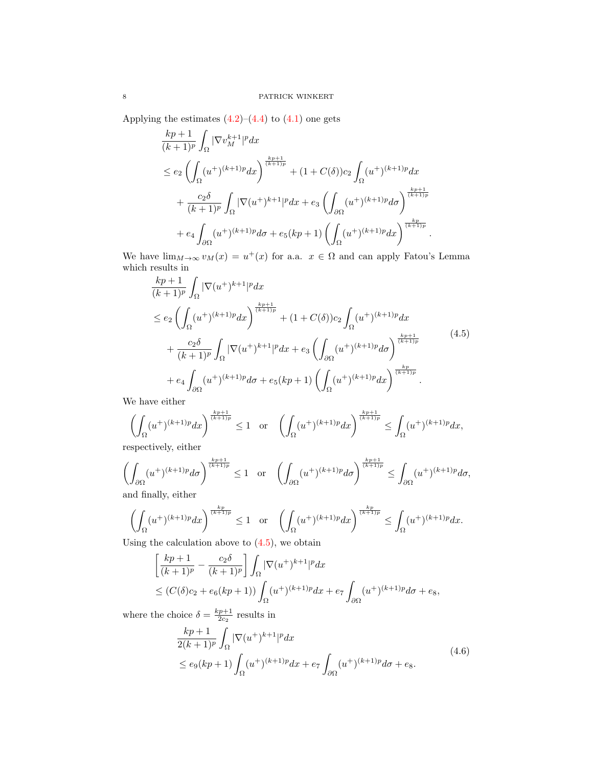Applying the estimates  $(4.2)$ – $(4.4)$  to  $(4.1)$  one gets

$$
\frac{kp+1}{(k+1)^p} \int_{\Omega} |\nabla v_M^{k+1}|^p dx
$$
\n
$$
\leq e_2 \left( \int_{\Omega} (u^+)^{(k+1)p} dx \right)^{\frac{kp+1}{(k+1)p}} + (1 + C(\delta))c_2 \int_{\Omega} (u^+)^{(k+1)p} dx
$$
\n
$$
+ \frac{c_2 \delta}{(k+1)^p} \int_{\Omega} |\nabla (u^+)^{k+1}|^p dx + e_3 \left( \int_{\partial \Omega} (u^+)^{(k+1)p} d\sigma \right)^{\frac{kp+1}{(k+1)p}}
$$
\n
$$
+ e_4 \int_{\partial \Omega} (u^+)^{(k+1)p} d\sigma + e_5 (kp+1) \left( \int_{\Omega} (u^+)^{(k+1)p} dx \right)^{\frac{kp}{(k+1)p}}.
$$

We have  $\lim_{M\to\infty} v_M(x) = u^+(x)$  for a.a.  $x \in \Omega$  and can apply Fatou's Lemma which results in

<span id="page-7-0"></span>
$$
\frac{kp+1}{(k+1)^p} \int_{\Omega} |\nabla(u^+)^{k+1}|^p dx
$$
\n
$$
\leq e_2 \left( \int_{\Omega} (u^+)^{(k+1)p} dx \right)^{\frac{kp+1}{(k+1)p}} + (1 + C(\delta))c_2 \int_{\Omega} (u^+)^{(k+1)p} dx
$$
\n
$$
+ \frac{c_2 \delta}{(k+1)^p} \int_{\Omega} |\nabla(u^+)^{k+1}|^p dx + e_3 \left( \int_{\partial \Omega} (u^+)^{(k+1)p} d\sigma \right)^{\frac{kp+1}{(k+1)p}}
$$
\n
$$
+ e_4 \int_{\partial \Omega} (u^+)^{(k+1)p} d\sigma + e_5(kp+1) \left( \int_{\Omega} (u^+)^{(k+1)p} dx \right)^{\frac{kp}{(k+1)p}}.
$$
\n(4.5)

We have either

$$
\left(\int_{\Omega} (u^+)^{(k+1)p} dx\right)^{\frac{kp+1}{(k+1)p}} \leq 1 \quad \text{or} \quad \left(\int_{\Omega} (u^+)^{(k+1)p} dx\right)^{\frac{kp+1}{(k+1)p}} \leq \int_{\Omega} (u^+)^{(k+1)p} dx,
$$

respectively, either

$$
\left(\int_{\partial\Omega} (u^+)^{(k+1)p} d\sigma \right)^{\frac{kp+1}{(k+1)p}} \le 1 \quad \text{or} \quad \left(\int_{\partial\Omega} (u^+)^{(k+1)p} d\sigma \right)^{\frac{kp+1}{(k+1)p}} \le \int_{\partial\Omega} (u^+)^{(k+1)p} d\sigma,
$$
and finally either

and finally, either

$$
\left(\int_{\Omega} (u^+)^{(k+1)p} dx\right)^{\frac{kp}{(k+1)p}} \le 1 \quad \text{or} \quad \left(\int_{\Omega} (u^+)^{(k+1)p} dx\right)^{\frac{kp}{(k+1)p}} \le \int_{\Omega} (u^+)^{(k+1)p} dx.
$$

Using the calculation above to  $(4.5)$ , we obtain

$$
\begin{aligned} &\left[\frac{kp+1}{(k+1)^p} - \frac{c_2\delta}{(k+1)^p}\right] \int_{\Omega} |\nabla(u^+)^{k+1}|^p dx \\ &\le (C(\delta)c_2 + e_6(kp+1)) \int_{\Omega} (u^+)^{(k+1)p} dx + e_7 \int_{\partial\Omega} (u^+)^{(k+1)p} d\sigma + e_8, \end{aligned}
$$

where the choice  $\delta = \frac{kp+1}{2c_2}$  results in

<span id="page-7-1"></span>
$$
\frac{kp+1}{2(k+1)^p} \int_{\Omega} |\nabla(u^+)^{k+1}|^p dx
$$
\n
$$
\leq e_9(kp+1) \int_{\Omega} (u^+)^{(k+1)p} dx + e_7 \int_{\partial\Omega} (u^+)^{(k+1)p} d\sigma + e_8.
$$
\n(4.6)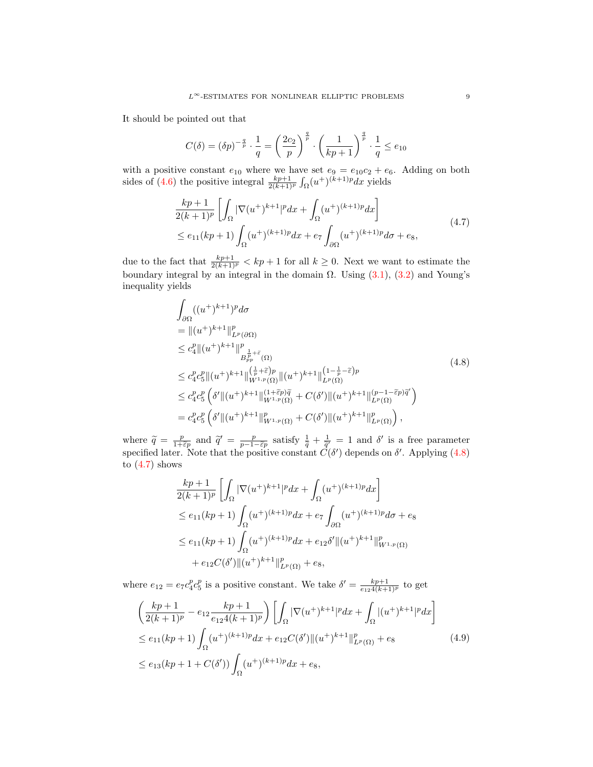It should be pointed out that

$$
C(\delta) = (\delta p)^{-\frac{q}{p}} \cdot \frac{1}{q} = \left(\frac{2c_2}{p}\right)^{\frac{q}{p}} \cdot \left(\frac{1}{kp+1}\right)^{\frac{q}{p}} \cdot \frac{1}{q} \le e_{10}
$$

with a positive constant  $e_{10}$  where we have set  $e_9 = e_{10}c_2 + e_6$ . Adding on both sides of [\(4.6\)](#page-7-1) the positive integral  $\frac{kp+1}{2(k+1)^p} \int_{\Omega} (u^+)^{(k+1)p} dx$  yields

<span id="page-8-1"></span>
$$
\frac{kp+1}{2(k+1)^p} \left[ \int_{\Omega} |\nabla(u^+)^{k+1}|^p dx + \int_{\Omega} (u^+)^{(k+1)p} dx \right] \le e_{11}(kp+1) \int_{\Omega} (u^+)^{(k+1)p} dx + e_7 \int_{\partial\Omega} (u^+)^{(k+1)p} d\sigma + e_8,
$$
\n(4.7)

due to the fact that  $\frac{kp+1}{2(k+1)^p} < kp+1$  for all  $k \geq 0$ . Next we want to estimate the boundary integral by an integral in the domain  $\Omega$ . Using  $(3.1)$ ,  $(3.2)$  and Young's inequality yields

<span id="page-8-0"></span>
$$
\int_{\partial\Omega} ((u^{+})^{k+1})^{p} d\sigma
$$
\n
$$
= ||(u^{+})^{k+1}||_{L^{p}(\partial\Omega)}^{p}
$$
\n
$$
\leq c_{4}^{p} ||(u^{+})^{k+1}||_{L^{p}(\partial\Omega)}^{p}
$$
\n
$$
\leq c_{4}^{p} c_{5}^{p} ||(u^{+})^{k+1}||_{W^{1,p}(\Omega)}^{(\frac{1}{p}+\tilde{\varepsilon})p} ||(u^{+})^{k+1}||_{L^{p}(\Omega)}^{(1-\frac{1}{p}-\tilde{\varepsilon})p}
$$
\n
$$
\leq c_{4}^{p} c_{5}^{p} \left(\delta' ||(u^{+})^{k+1}||_{W^{1,p}(\Omega)}^{(1+\tilde{\varepsilon}p)\tilde{q}} + C(\delta') ||(u^{+})^{k+1}||_{L^{p}(\Omega)}^{(p-1-\tilde{\varepsilon}p)\tilde{q}}\right)
$$
\n
$$
= c_{4}^{p} c_{5}^{p} \left(\delta' ||(u^{+})^{k+1}||_{W^{1,p}(\Omega)}^{p} + C(\delta') ||(u^{+})^{k+1}||_{L^{p}(\Omega)}^{p}\right),
$$
\n(4.8)

where  $\tilde{q} = \frac{p}{1-\tilde{\epsilon}p}$  and  $\tilde{q}' = \frac{p}{p-1-\tilde{\epsilon}p}$  satisfy  $\frac{1}{\tilde{q}} + \frac{1}{\tilde{q}'} = 1$  and  $\delta'$  is a free parameter specified later. Note that the positive constant  $\dot{C}(\delta')$  depends on  $\delta'$ . Applying [\(4.8\)](#page-8-0) to  $(4.7)$  shows

<span id="page-8-2"></span>
$$
\frac{kp+1}{2(k+1)^p} \left[ \int_{\Omega} |\nabla(u^+)^{k+1}|^p dx + \int_{\Omega} (u^+)^{(k+1)p} dx \right]
$$
  
\n
$$
\leq e_{11}(kp+1) \int_{\Omega} (u^+)^{(k+1)p} dx + e_7 \int_{\partial\Omega} (u^+)^{(k+1)p} d\sigma + e_8
$$
  
\n
$$
\leq e_{11}(kp+1) \int_{\Omega} (u^+)^{(k+1)p} dx + e_{12}\delta' ||(u^+)^{k+1}||^p_{W^{1,p}(\Omega)}
$$
  
\n
$$
+ e_{12}C(\delta') ||(u^+)^{k+1}||^p_{L^p(\Omega)} + e_8,
$$

where  $e_{12} = e_7 c_4^p c_5^p$  is a positive constant. We take  $\delta' = \frac{k p + 1}{e_{12} 4(k+1)^p}$  to get

$$
\left(\frac{kp+1}{2(k+1)^p} - e_{12}\frac{kp+1}{e_{12}4(k+1)^p}\right) \left[\int_{\Omega} |\nabla(u^+)^{k+1}|^p dx + \int_{\Omega} |(u^+)^{k+1}|^p dx\right]
$$
  
\n
$$
\leq e_{11}(kp+1) \int_{\Omega} (u^+)^{(k+1)p} dx + e_{12}C(\delta') ||(u^+)^{k+1}||^p_{L^p(\Omega)} + e_8
$$
  
\n
$$
\leq e_{13}(kp+1+C(\delta')) \int_{\Omega} (u^+)^{(k+1)p} dx + e_8,
$$
\n(4.9)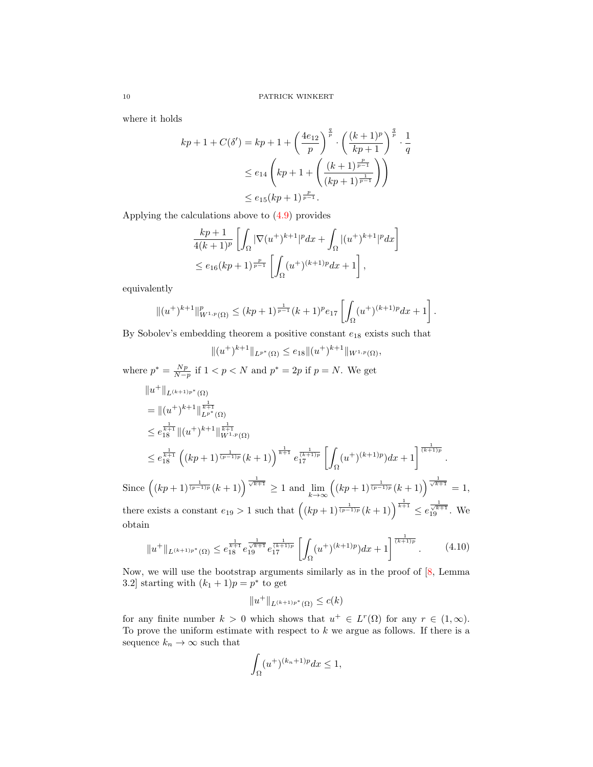where it holds

$$
kp + 1 + C(\delta') = kp + 1 + \left(\frac{4e_{12}}{p}\right)^{\frac{q}{p}} \cdot \left(\frac{(k+1)^p}{kp+1}\right)^{\frac{q}{p}} \cdot \frac{1}{q}
$$
  

$$
\leq e_{14} \left(kp + 1 + \left(\frac{(k+1)^{\frac{p}{p-1}}}{(kp+1)^{\frac{1}{p-1}}}\right)\right)
$$
  

$$
\leq e_{15}(kp+1)^{\frac{p}{p-1}}.
$$

Applying the calculations above to [\(4.9\)](#page-8-2) provides

$$
\frac{kp+1}{4(k+1)^p} \left[ \int_{\Omega} |\nabla(u^+)^{k+1}|^p dx + \int_{\Omega} |(u^+)^{k+1}|^p dx \right]
$$
  

$$
\leq e_{16}(kp+1)^{\frac{p}{p-1}} \left[ \int_{\Omega} (u^+)^{(k+1)p} dx + 1 \right],
$$

equivalently

$$
\|(u^+)^{k+1}\|_{W^{1,p}(\Omega)}^p \le (kp+1)^{\frac{1}{p-1}}(k+1)^p e_{17} \left[ \int_{\Omega} (u^+)^{(k+1)p} dx + 1 \right].
$$

By Sobolev's embedding theorem a positive constant  $e_{18}$  exists such that

 $||(u^+)^{k+1}||_{L^{p^*}(\Omega)} \leq e_{18}||(u^+)^{k+1}||_{W^{1,p}(\Omega)},$ 

where  $p^* = \frac{Np}{N-p}$  if  $1 < p < N$  and  $p^* = 2p$  if  $p = N$ . We get

$$
||u^+||_{L^{(k+1)p^*}(\Omega)}
$$
  
\n
$$
= ||(u^+)^{k+1}||_{L^{p^*}(\Omega)}^{\frac{1}{k+1}}
$$
  
\n
$$
\leq e_{18}^{\frac{1}{k+1}} ||(u^+)^{k+1}||_{W^{1,p}(\Omega)}^{\frac{1}{k+1}}
$$
  
\n
$$
\leq e_{18}^{\frac{1}{k+1}} ((kp+1)^{\frac{1}{(p-1)p}}(k+1))^{\frac{1}{k+1}} e_{17}^{\frac{1}{(k+1)p}} \left[ \int_{\Omega} (u^+)^{(k+1)p} dx + 1 \right]^{\frac{1}{(k+1)p}}.
$$
  
\nSince  $((kp+1)^{\frac{1}{(p-1)p}}(k+1))^{\frac{1}{\sqrt{k+1}}} \geq 1$  and  $\lim_{k \to \infty} ((kp+1)^{\frac{1}{(p-1)p}}(k+1))^{\frac{1}{\sqrt{k+1}}} = 1$ ,

there exists a constant  $e_{19} > 1$  such that  $((kp+1)^{\frac{1}{(p-1)p}}(k+1))^{\frac{1}{k+1}} \leq e_{19}^{\frac{1}{\sqrt{k+1}}}$ . We obtain

$$
||u^+||_{L^{(k+1)p^*}(\Omega)} \le e_{18}^{\frac{1}{k+1}} e_{19}^{\frac{1}{\sqrt{k+1}}} e_{17}^{\frac{1}{(\sqrt{k+1})p}} \left[ \int_{\Omega} (u^+)^{(k+1)p} dx + 1 \right]^{\frac{1}{(k+1)p}}.
$$
 (4.10)

Now, we will use the bootstrap arguments similarly as in the proof of [\[8,](#page-12-14) Lemma 3.2] starting with  $(k_1 + 1)p = p^*$  to get

<span id="page-9-0"></span>
$$
||u^+||_{L^{(k+1)p^*}(\Omega)} \le c(k)
$$

for any finite number  $k > 0$  which shows that  $u^+ \in L^r(\Omega)$  for any  $r \in (1, \infty)$ . To prove the uniform estimate with respect to  $k$  we argue as follows. If there is a sequence  $k_n\to\infty$  such that

$$
\int_{\Omega} (u^{+})^{(k_{n}+1)p} dx \le 1,
$$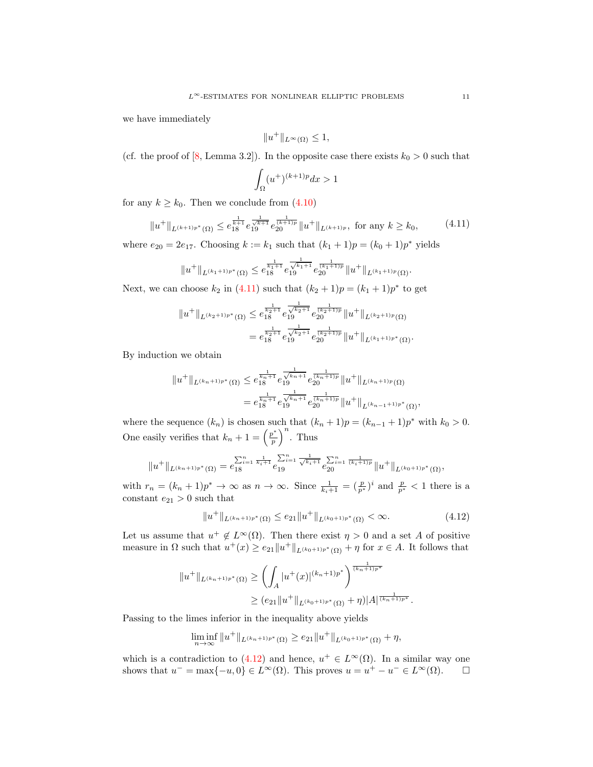we have immediately

$$
||u^+||_{L^{\infty}(\Omega)} \le 1,
$$

(cf. the proof of [\[8,](#page-12-14) Lemma 3.2]). In the opposite case there exists  $k_0 > 0$  such that

<span id="page-10-0"></span>
$$
\int_{\Omega} (u^{+})^{(k+1)p} dx > 1
$$

for any  $k \geq k_0$ . Then we conclude from  $(4.10)$ 

$$
||u^+||_{L^{(k+1)p^*}(\Omega)} \le e_{18}^{\frac{1}{k+1}} e_{19}^{\frac{1}{\sqrt{k+1}}} e_{20}^{\frac{1}{(k+1)p}} ||u^+||_{L^{(k+1)p}}, \text{ for any } k \ge k_0,
$$
 (4.11)

where  $e_{20} = 2e_{17}$ . Choosing  $k := k_1$  such that  $(k_1 + 1)p = (k_0 + 1)p^*$  yields

$$
||u^+||_{L^{(k_1+1)p^*}(\Omega)} \leq e^{\frac{1}{k_1+1}}_{18} e^{\frac{1}{\sqrt{k_1+1}}} e^{\frac{1}{(k_1+1)p}}_{20} ||u^+||_{L^{(k_1+1)p}(\Omega)}.
$$

Next, we can choose  $k_2$  in [\(4.11\)](#page-10-0) such that  $(k_2 + 1)p = (k_1 + 1)p^*$  to get

$$
||u^+||_{L^{(k_2+1)p^*}(\Omega)} \leq e^{\frac{1}{k_2+1}}_{18} e^{\frac{1}{\sqrt{k_2+1}}} e^{\frac{1}{(k_2+1)p}}_{20} ||u^+||_{L^{(k_2+1)p}(\Omega)}
$$
  

$$
= e^{\frac{1}{k_2+1}}_{18} e^{\frac{1}{\sqrt{k_2+1}}} e^{\frac{1}{(k_2+1)p}}_{20} ||u^+||_{L^{(k_1+1)p^*}(\Omega)}.
$$

By induction we obtain

$$
||u^+||_{L^{(k_n+1)p^*}(\Omega)} \leq e^{\frac{1}{k_n+1}}_{18} e^{\frac{1}{\sqrt{k_n+1}}} e^{\frac{1}{(k_n+1)p}}_{20} ||u^+||_{L^{(k_n+1)p}(\Omega)}
$$
  

$$
= e^{\frac{1}{k_n+1}}_{18} e^{\frac{1}{\sqrt{k_n+1}}} e^{\frac{1}{(k_n+1)p}}_{20} ||u^+||_{L^{(k_{n-1}+1)p^*}(\Omega)},
$$

where the sequence  $(k_n)$  is chosen such that  $(k_n + 1)p = (k_{n-1} + 1)p^*$  with  $k_0 > 0$ . One easily verifies that  $k_n + 1 = \left(\frac{p^*}{p}\right)^n$  $\left(\frac{p^*}{p}\right)^n$ . Thus

$$
||u^+||_{L^{(k_n+1)p^*}(\Omega)} = e_{18}^{\sum_{i=1}^n \frac{1}{k_i+1}} e_{19}^{\sum_{i=1}^n \frac{1}{\sqrt{k_i+1}}} e_{20}^{\sum_{i=1}^n \frac{1}{(k_i+1)p}} ||u^+||_{L^{(k_0+1)p^*}(\Omega)},
$$

with  $r_n = (k_n + 1)p^* \to \infty$  as  $n \to \infty$ . Since  $\frac{1}{k_i+1} = (\frac{p}{p^*})^i$  and  $\frac{p}{p^*} < 1$  there is a constant  $e_{21} > 0$  such that

<span id="page-10-1"></span>
$$
||u^+||_{L^{(k_n+1)p^*}(\Omega)} \le e_{21}||u^+||_{L^{(k_0+1)p^*}(\Omega)} < \infty.
$$
\n(4.12)

Let us assume that  $u^+ \notin L^{\infty}(\Omega)$ . Then there exist  $\eta > 0$  and a set A of positive measure in  $\Omega$  such that  $u^+(x) \ge e_{21} ||u^+||_{L^{(k_0+1)p^*}(\Omega)} + \eta$  for  $x \in A$ . It follows that

$$
||u^+||_{L^{(k_n+1)p^*}(\Omega)} \ge \left(\int_A |u^+(x)|^{(k_n+1)p^*}\right)^{\frac{1}{(k_n+1)p^*}} \ge (e_{21}||u^+||_{L^{(k_0+1)p^*}(\Omega)} + \eta)|A|^{\frac{1}{(k_n+1)p^*}}.
$$

Passing to the limes inferior in the inequality above yields

$$
\liminf_{n \to \infty} ||u^+||_{L^{(k_n+1)p^*}(\Omega)} \ge e_{21} ||u^+||_{L^{(k_0+1)p^*}(\Omega)} + \eta,
$$

which is a contradiction to [\(4.12\)](#page-10-1) and hence,  $u^+ \in L^{\infty}(\Omega)$ . In a similar way one shows that  $u^- = \max\{-u, 0\} \in L^{\infty}(\Omega)$ . This proves  $u = u^+ - u^- \in L^{\infty}(\Omega)$ .  $\Box$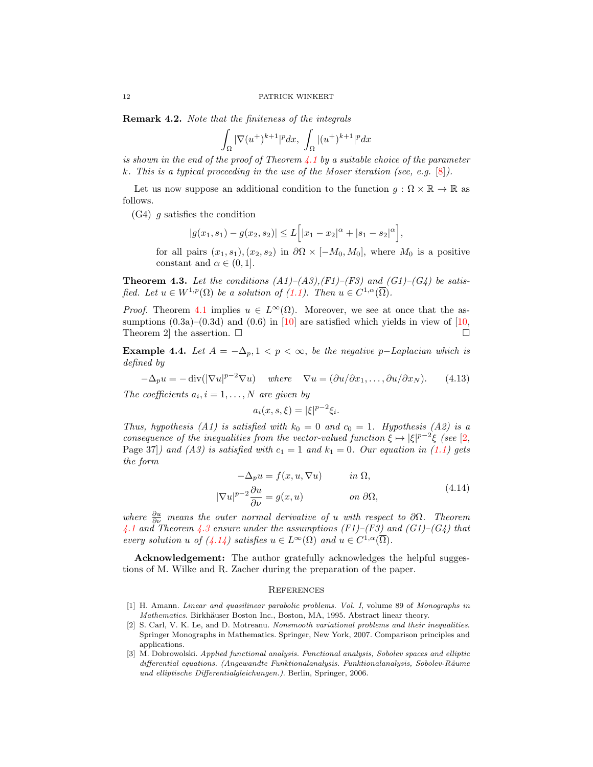Remark 4.2. Note that the finiteness of the integrals

$$
\int_{\Omega} |\nabla (u^+)^{k+1}|^p dx, \int_{\Omega} |(u^+)^{k+1}|^p dx
$$

is shown in the end of the proof of Theorem [4.1](#page-5-0) by a suitable choice of the parameter k. This is a typical proceeding in the use of the Moser iteration (see, e.g.  $[8]$ ).

Let us now suppose an additional condition to the function  $g : \Omega \times \mathbb{R} \to \mathbb{R}$  as follows.

 $(G4)$  g satisfies the condition

$$
|g(x_1, s_1) - g(x_2, s_2)| \le L\Big[|x_1 - x_2|^{\alpha} + |s_1 - s_2|^{\alpha}\Big],
$$

for all pairs  $(x_1, s_1), (x_2, s_2)$  in  $\partial\Omega \times [-M_0, M_0]$ , where  $M_0$  is a positive constant and  $\alpha \in (0,1]$ .

<span id="page-11-3"></span>**Theorem 4.3.** Let the conditions  $(A1)$ – $(A3)$ , $(F1)$ – $(F3)$  and  $(G1)$ – $(G4)$  be satisfied. Let  $u \in W^{1,p}(\Omega)$  be a solution of  $(1.1)$ . Then  $u \in C^{1,\alpha}(\overline{\Omega})$ .

*Proof.* Theorem [4.1](#page-5-0) implies  $u \in L^{\infty}(\Omega)$ . Moreover, we see at once that the assumptions  $(0.3a)$ – $(0.3d)$  and  $(0.6)$  in [\[10\]](#page-12-3) are satisfied which yields in view of [\[10,](#page-12-3) Theorem 2 the assertion.  $\square$ 

Example 4.4. Let  $A = -\Delta_p, 1 \leq p \leq \infty$ , be the negative p-Laplacian which is defined by

$$
-\Delta_p u = -\operatorname{div}(|\nabla u|^{p-2} \nabla u) \quad \text{where} \quad \nabla u = (\partial u/\partial x_1, \dots, \partial u/\partial x_N). \tag{4.13}
$$

The coefficients  $a_i, i = 1, \ldots, N$  are given by

<span id="page-11-4"></span>
$$
a_i(x, s, \xi) = |\xi|^{p-2} \xi_i.
$$

Thus, hypothesis (A1) is satisfied with  $k_0 = 0$  and  $c_0 = 1$ . Hypothesis (A2) is a consequence of the inequalities from the vector-valued function  $\xi \mapsto |\xi|^{p-2}\xi$  (see [\[2,](#page-11-2) Page 37) and (A3) is satisfied with  $c_1 = 1$  and  $k_1 = 0$ . Our equation in [\(1.1\)](#page-0-0) gets the form

$$
-\Delta_p u = f(x, u, \nabla u) \qquad in \ \Omega,
$$
  

$$
|\nabla u|^{p-2} \frac{\partial u}{\partial \nu} = g(x, u) \qquad on \ \partial \Omega,
$$
 (4.14)

where  $\frac{\partial u}{\partial \nu}$  means the outer normal derivative of u with respect to  $\partial \Omega$ . Theorem [4.1](#page-5-0) and Theorem [4.3](#page-11-3) ensure under the assumptions (F1)–(F3) and (G1)–(G4) that every solution u of  $(4.14)$  satisfies  $u \in L^{\infty}(\Omega)$  and  $u \in C^{1,\alpha}(\overline{\Omega})$ .

Acknowledgement: The author gratefully acknowledges the helpful suggestions of M. Wilke and R. Zacher during the preparation of the paper.

#### **REFERENCES**

- <span id="page-11-1"></span>[1] H. Amann. Linear and quasilinear parabolic problems. Vol. I, volume 89 of Monographs in Mathematics. Birkhäuser Boston Inc., Boston, MA, 1995. Abstract linear theory.
- <span id="page-11-2"></span>[2] S. Carl, V. K. Le, and D. Motreanu. Nonsmooth variational problems and their inequalities. Springer Monographs in Mathematics. Springer, New York, 2007. Comparison principles and applications.
- <span id="page-11-0"></span>[3] M. Dobrowolski. Applied functional analysis. Functional analysis, Sobolev spaces and elliptic differential equations. (Angewandte Funktionalanalysis. Funktionalanalysis, Sobolev-Räume und elliptische Differentialgleichungen.). Berlin, Springer, 2006.